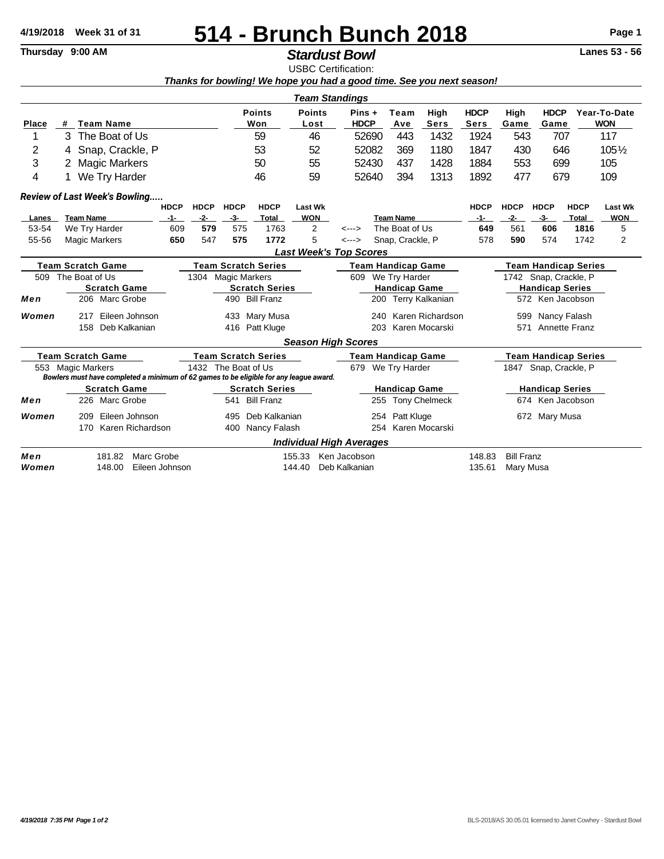## **514 - Brunch Bunch 2018 4/19/2018 Week 31 of 31 Page 1**

## **Stardust Bowl**

USBC Certification: *Thanks for bowling! We hope you had a good time. See you next season!*

| <b>Team Standings</b>                                                                                                                                                               |                                                                               |                                       |                                            |             |                      |                            |                            |                       |                           |                                    |                        |                                    |                      |                             |                             |                            |               |                     |  |
|-------------------------------------------------------------------------------------------------------------------------------------------------------------------------------------|-------------------------------------------------------------------------------|---------------------------------------|--------------------------------------------|-------------|----------------------|----------------------------|----------------------------|-----------------------|---------------------------|------------------------------------|------------------------|------------------------------------|----------------------|-----------------------------|-----------------------------|----------------------------|---------------|---------------------|--|
| <b>Place</b>                                                                                                                                                                        | #                                                                             | <b>Team Name</b>                      |                                            |             | <b>Points</b><br>Won |                            | <b>Points</b><br>Lost      | Pins +<br><b>HDCP</b> |                           | High<br>Team<br><b>Sers</b><br>Ave |                        | <b>HDCP</b><br><b>Sers</b>         | High<br>Game         | <b>HDCP</b><br>Game         |                             | Year-To-Date<br><b>WON</b> |               |                     |  |
| 1                                                                                                                                                                                   | 3<br>The Boat of Us                                                           |                                       |                                            |             | 59                   |                            |                            | 46                    | 52690                     |                                    | 443                    | 1432                               | 1924                 | 543                         | 707                         |                            | 117           |                     |  |
| 2                                                                                                                                                                                   | 4                                                                             | Snap, Crackle, P                      |                                            |             |                      | 53                         |                            |                       | 52                        | 52082                              |                        | 369                                | 1180                 | 1847                        |                             | 430<br>646                 |               | $105\%$             |  |
| 3                                                                                                                                                                                   |                                                                               | <b>Magic Markers</b>                  |                                            |             |                      |                            | 50                         |                       | 55                        | 52430                              |                        | 437                                | 1428                 | 1884                        | 553                         | 699                        |               | 105                 |  |
| 4                                                                                                                                                                                   | We Try Harder                                                                 |                                       |                                            | 46          |                      |                            | 59                         | 52640                 |                           | 394<br>1313                        |                        | 1892                               | 477                  | 679                         |                             | 109                        |               |                     |  |
|                                                                                                                                                                                     |                                                                               |                                       | Review of Last Week's Bowling              |             |                      |                            |                            |                       |                           |                                    |                        |                                    |                      |                             |                             |                            |               |                     |  |
|                                                                                                                                                                                     |                                                                               |                                       |                                            | <b>HDCP</b> | <b>HDCP</b>          | <b>HDCP</b>                | <b>HDCP</b>                | <b>Last Wk</b>        |                           |                                    |                        |                                    |                      | <b>HDCP</b>                 | <b>HDCP</b>                 | <b>HDCP</b>                | <b>HDCP</b>   | <b>Last Wk</b>      |  |
| Lanes                                                                                                                                                                               |                                                                               | <b>Team Name</b>                      |                                            | $-1-$       | $-2-$                | $-3-$                      | Total                      | <b>WON</b>            |                           |                                    |                        | <b>Team Name</b>                   |                      | $-1-$                       | $-2-$                       | $-3-$                      | Total         | <b>WON</b>          |  |
| 53-54<br>55-56                                                                                                                                                                      |                                                                               | We Try Harder<br><b>Magic Markers</b> |                                            | 609<br>650  | 579<br>547           | 575<br>575                 | 1763<br>1772               |                       | $\overline{2}$<br>5       | <---><br>$\leftarrow$ --->         |                        | The Boat of Us<br>Snap, Crackle, P |                      | 649<br>578                  | 561<br>590                  | 606<br>574                 | 1816<br>1742  | 5<br>$\overline{2}$ |  |
|                                                                                                                                                                                     |                                                                               |                                       |                                            |             |                      |                            |                            |                       |                           | <b>Last Week's Top Scores</b>      |                        |                                    |                      |                             |                             |                            |               |                     |  |
| <b>Team Scratch Game</b>                                                                                                                                                            |                                                                               |                                       |                                            |             |                      | <b>Team Scratch Series</b> |                            |                       | <b>Team Handicap Game</b> |                                    |                        |                                    |                      | <b>Team Handicap Series</b> |                             |                            |               |                     |  |
| 509                                                                                                                                                                                 | The Boat of Us<br><b>Scratch Game</b>                                         |                                       |                                            | 1304        | <b>Magic Markers</b> |                            |                            |                       | 609                       |                                    | We Try Harder          |                                    |                      | 1742 Snap, Crackle, P       |                             |                            |               |                     |  |
|                                                                                                                                                                                     |                                                                               |                                       |                                            |             |                      | <b>Scratch Series</b>      |                            |                       |                           |                                    |                        | <b>Handicap Game</b>               |                      |                             | <b>Handicap Series</b>      |                            |               |                     |  |
| Men                                                                                                                                                                                 |                                                                               |                                       | 206 Marc Grobe<br><b>Bill Franz</b><br>490 |             |                      |                            |                            |                       | 200                       |                                    | <b>Terry Kalkanian</b> |                                    | 572 Ken Jacobson     |                             |                             |                            |               |                     |  |
| Women                                                                                                                                                                               |                                                                               | 217                                   | Eileen Johnson                             |             |                      | 433                        | Mary Musa                  |                       |                           |                                    | 240                    |                                    | Karen Richardson     |                             | 599                         |                            | Nancy Falash  |                     |  |
|                                                                                                                                                                                     |                                                                               | 158                                   | Deb Kalkanian                              |             |                      | 416                        | Patt Kluge                 |                       |                           |                                    | 203                    |                                    | Karen Mocarski       |                             | 571                         |                            | Annette Franz |                     |  |
|                                                                                                                                                                                     |                                                                               |                                       |                                            |             |                      |                            |                            |                       |                           | <b>Season High Scores</b>          |                        |                                    |                      |                             |                             |                            |               |                     |  |
|                                                                                                                                                                                     | <b>Team Scratch Game</b>                                                      |                                       |                                            |             |                      |                            | <b>Team Scratch Series</b> |                       |                           |                                    |                        | <b>Team Handicap Game</b>          |                      |                             | <b>Team Handicap Series</b> |                            |               |                     |  |
| 553 Magic Markers<br>1432 The Boat of Us<br>We Try Harder<br>1847 Snap, Crackle, P<br>679<br>Bowlers must have completed a minimum of 62 games to be eligible for any league award. |                                                                               |                                       |                                            |             |                      |                            |                            |                       |                           |                                    |                        |                                    |                      |                             |                             |                            |               |                     |  |
|                                                                                                                                                                                     |                                                                               |                                       | <b>Scratch Game</b>                        |             |                      |                            | <b>Scratch Series</b>      |                       |                           |                                    |                        | <b>Handicap Game</b>               |                      |                             |                             | <b>Handicap Series</b>     |               |                     |  |
| Men                                                                                                                                                                                 |                                                                               | 226                                   | Marc Grobe                                 |             |                      | 541                        | <b>Bill Franz</b>          |                       |                           |                                    | 255                    |                                    | <b>Tony Chelmeck</b> |                             | 674                         |                            | Ken Jacobson  |                     |  |
| Women                                                                                                                                                                               |                                                                               | 209                                   | Eileen Johnson                             |             |                      | 495                        | Deb Kalkanian              |                       |                           |                                    |                        | 254 Patt Kluge                     |                      |                             |                             | 672 Mary Musa              |               |                     |  |
|                                                                                                                                                                                     |                                                                               | 170                                   | Karen Richardson                           |             |                      | 400                        | Nancy Falash               |                       |                           |                                    | 254                    | Karen Mocarski                     |                      |                             |                             |                            |               |                     |  |
|                                                                                                                                                                                     |                                                                               |                                       |                                            |             |                      |                            |                            |                       |                           | <b>Individual High Averages</b>    |                        |                                    |                      |                             |                             |                            |               |                     |  |
| Men                                                                                                                                                                                 | Marc Grobe<br><b>Bill Franz</b><br>181.82<br>Ken Jacobson<br>148.83<br>155.33 |                                       |                                            |             |                      |                            |                            |                       |                           |                                    |                        |                                    |                      |                             |                             |                            |               |                     |  |
| Women                                                                                                                                                                               | Eileen Johnson<br>148.00                                                      |                                       |                                            |             |                      | 144.40                     |                            |                       | Deb Kalkanian             |                                    |                        |                                    | 135.61               | Mary Musa                   |                             |                            |               |                     |  |